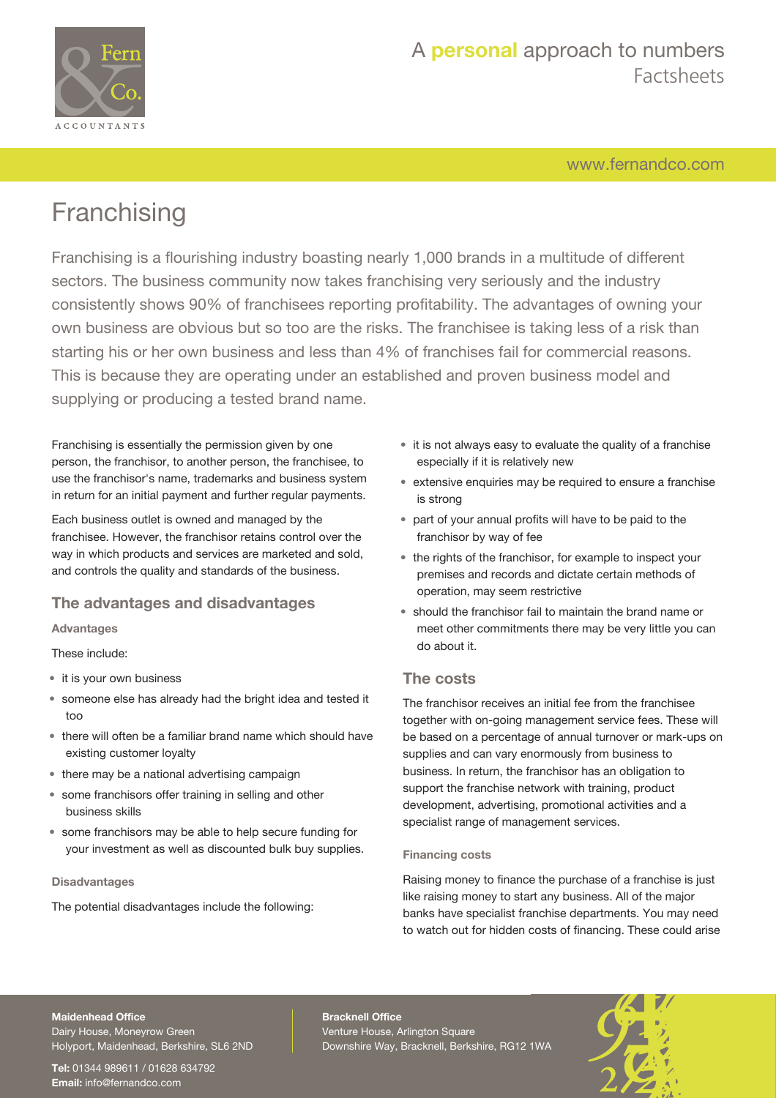

# A **personal** approach to numbers Factsheets

[www.fernandco.com](http://www.fernandco.com)

# **Franchising**

Franchising is a flourishing industry boasting nearly 1,000 brands in a multitude of different sectors. The business community now takes franchising very seriously and the industry consistently shows 90% of franchisees reporting profitability. The advantages of owning your own business are obvious but so too are the risks. The franchisee is taking less of a risk than starting his or her own business and less than 4% of franchises fail for commercial reasons. This is because they are operating under an established and proven business model and supplying or producing a tested brand name.

Franchising is essentially the permission given by one person, the franchisor, to another person, the franchisee, to use the franchisor's name, trademarks and business system in return for an initial payment and further regular payments.

Each business outlet is owned and managed by the franchisee. However, the franchisor retains control over the way in which products and services are marketed and sold, and controls the quality and standards of the business.

### **The advantages and disadvantages**

**Advantages**

These include:

- it is your own business
- someone else has already had the bright idea and tested it too
- there will often be a familiar brand name which should have existing customer loyalty
- there may be a national advertising campaign
- some franchisors offer training in selling and other business skills
- some franchisors may be able to help secure funding for your investment as well as discounted bulk buy supplies.

### **Disadvantages**

The potential disadvantages include the following:

- it is not always easy to evaluate the quality of a franchise especially if it is relatively new
- extensive enquiries may be required to ensure a franchise is strong
- part of your annual profits will have to be paid to the franchisor by way of fee
- the rights of the franchisor, for example to inspect your premises and records and dictate certain methods of operation, may seem restrictive
- should the franchisor fail to maintain the brand name or meet other commitments there may be very little you can do about it.

# **The costs**

The franchisor receives an initial fee from the franchisee together with on-going management service fees. These will be based on a percentage of annual turnover or mark-ups on supplies and can vary enormously from business to business. In return, the franchisor has an obligation to support the franchise network with training, product development, advertising, promotional activities and a specialist range of management services.

### **Financing costs**

Raising money to finance the purchase of a franchise is just like raising money to start any business. All of the major banks have specialist franchise departments. You may need to watch out for hidden costs of financing. These could arise

#### **Maidenhead Office**

Dairy House, Moneyrow Green Holyport, Maidenhead, Berkshire, SL6 2ND

**Tel:** 01344 989611 / 01628 634792 **Email:** [info@fernandco.com](mailto:info@fernandco.com)

**Bracknell Office** Venture House, Arlington Square Downshire Way, Bracknell, Berkshire, RG12 1WA